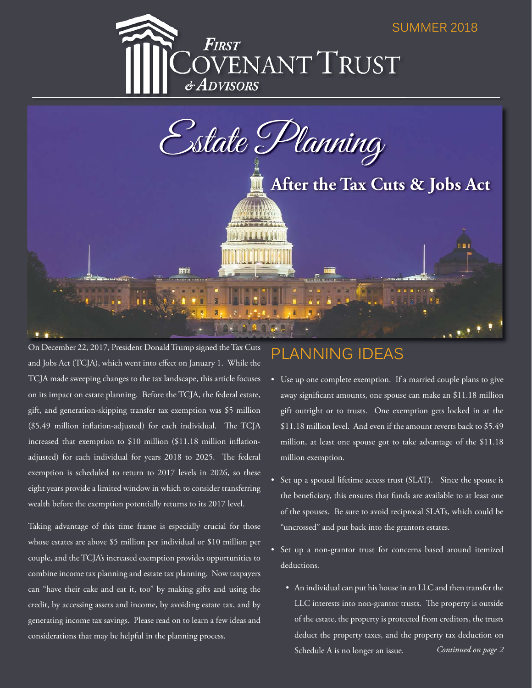#### SUMMER 2018





On December 22, 2017, President Donald Trump signed the Tax Cuts and Jobs Act (TCJA), which went into effect on January 1. While the TCJA made sweeping changes to the tax landscape, this article focuses on its impact on estate planning. Before the TCJA, the federal estate, gift, and generation-skipping transfer tax exemption was \$5 million  $($5.49$  million inflation-adjusted) for each individual. The TCJA increased that exemption to  $$10$  million (\$11.18 million inflationadjusted) for each individual for years 2018 to 2025. The federal exemption is scheduled to return to 2017 levels in 2026, so these eight years provide a limited window in which to consider transferring wealth before the exemption potentially returns to its 2017 level.

Taking advantage of this time frame is especially crucial for those whose estates are above \$5 million per individual or \$10 million per couple, and the TCJA's increased exemption provides opportunities to combine income tax planning and estate tax planning. Now taxpayers can "have their cake and eat it, too" by making gifts and using the credit, by accessing assets and income, by avoiding estate tax, and by generating income tax savings. Please read on to learn a few ideas and considerations that may be helpful in the planning process.

## PLANNING IDEAS

- Use up one complete exemption. If a married couple plans to give away significant amounts, one spouse can make an \$11.18 million gift outright or to trusts. One exemption gets locked in at the \$11.18 million level. And even if the amount reverts back to \$5.49 million, at least one spouse got to take advantage of the \$11.18 million exemption.
- Set up a spousal lifetime access trust (SLAT). Since the spouse is the beneficiary, this ensures that funds are available to at least one of the spouses. Be sure to avoid reciprocal SLATs, which could be "uncrossed" and put back into the grantors estates.
- Set up a non-grantor trust for concerns based around itemized deductions.
	- An individual can put his house in an LLC and then transfer the LLC interests into non-grantor trusts. The property is outside of the estate, the property is protected from creditors, the trusts deduct the property taxes, and the property tax deduction on Schedule A is no longer an issue. *Continued on page 2*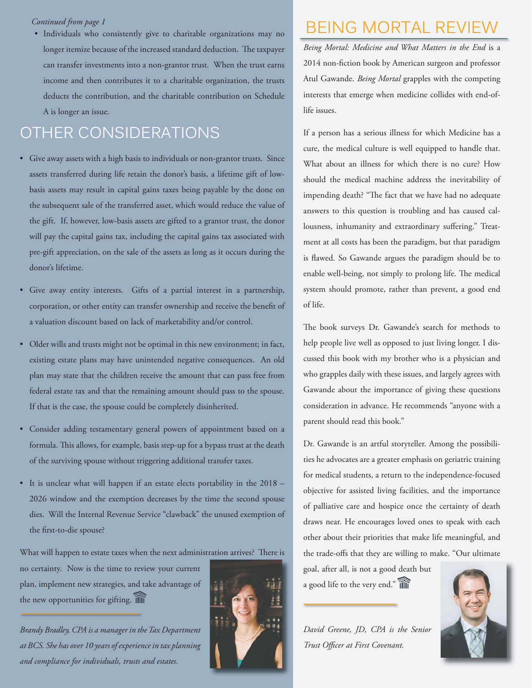#### *Continued from page 1*

-ontinued from page 1  $\cdot$  and page 1  $\cdot$  solutions (see also charitable organizations may no  $\cdot$  BEING MORTAL REVIEW longer itemize because of the increased standard deduction. The taxpayer can transfer investments into a non-grantor trust. When the trust earns income and then contributes it to a charitable organization, the trusts deducts the contribution, and the charitable contribution on Schedule A is longer an issue.

### OTHER CONSIDERATIONS

- Give away assets with a high basis to individuals or non-grantor trusts. Since assets transferred during life retain the donor's basis, a lifetime gift of lowbasis assets may result in capital gains taxes being payable by the done on the subsequent sale of the transferred asset, which would reduce the value of the gift. If, however, low-basis assets are gifted to a grantor trust, the donor will pay the capital gains tax, including the capital gains tax associated with pre-gift appreciation, on the sale of the assets as long as it occurs during the donor's lifetime.
- Give away entity interests. Gifts of a partial interest in a partnership, corporation, or other entity can transfer ownership and receive the benefit of a valuation discount based on lack of marketability and/or control.
- Older wills and trusts might not be optimal in this new environment; in fact, existing estate plans may have unintended negative consequences. An old plan may state that the children receive the amount that can pass free from federal estate tax and that the remaining amount should pass to the spouse. If that is the case, the spouse could be completely disinherited.
- Consider adding testamentary general powers of appointment based on a formula. This allows, for example, basis step-up for a bypass trust at the death of the surviving spouse without triggering additional transfer taxes.
- It is unclear what will happen if an estate elects portability in the 2018 2026 window and the exemption decreases by the time the second spouse dies. Will the Internal Revenue Service "clawback" the unused exemption of the first-to-die spouse?

What will happen to estate taxes when the next administration arrives? There is

no certainty. Now is the time to review your current plan, implement new strategies, and take advantage of the new opportunities for gifting.

*Brandy Bradley, CPA is a manager in the Tax Department at BCS. She has over 10 years of experience in tax planning and compliance for individuals, trusts and estates.*

#### 2014 non-fiction book by American surgeon and professor Atul Gawande. *Being Mortal* grapples with the competing interests that emerge when medicine collides with end-oflife issues.

If a person has a serious illness for which Medicine has a cure, the medical culture is well equipped to handle that. What about an illness for which there is no cure? How should the medical machine address the inevitability of impending death? "The fact that we have had no adequate answers to this question is troubling and has caused callousness, inhumanity and extraordinary suffering." Treatment at all costs has been the paradigm, but that paradigm is flawed. So Gawande argues the paradigm should be to enable well-being, not simply to prolong life. The medical system should promote, rather than prevent, a good end of life.

*Being Mortal: Medicine and What Matters in the End* is a

The book surveys Dr. Gawande's search for methods to help people live well as opposed to just living longer. I discussed this book with my brother who is a physician and who grapples daily with these issues, and largely agrees with Gawande about the importance of giving these questions consideration in advance. He recommends "anyone with a parent should read this book."

Dr. Gawande is an artful storyteller. Among the possibilities he advocates are a greater emphasis on geriatric training for medical students, a return to the independence-focused objective for assisted living facilities, and the importance of palliative care and hospice once the certainty of death draws near. He encourages loved ones to speak with each other about their priorities that make life meaningful, and the trade-offs that they are willing to make. "Our ultimate

goal, after all, is not a good death but a good life to the very end."

*David Greene, JD, CPA is the Senior*  **Trust Officer at First Covenant.** 



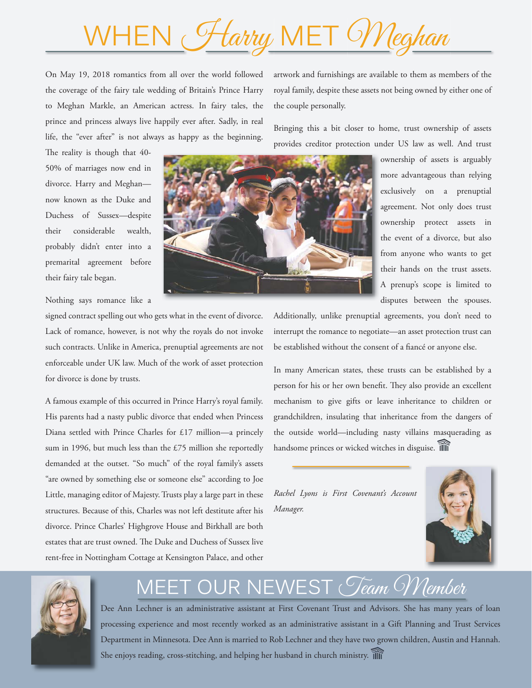# WHEN Harry MET Weghan

On May 19, 2018 romantics from all over the world followed the coverage of the fairy tale wedding of Britain's Prince Harry to Meghan Markle, an American actress. In fairy tales, the prince and princess always live happily ever after. Sadly, in real life, the "ever after" is not always as happy as the beginning.

The reality is though that 40-50% of marriages now end in divorce. Harry and Meghan now known as the Duke and Duchess of Sussex—despite their considerable wealth, probably didn't enter into a premarital agreement before their fairy tale began.

Nothing says romance like a

signed contract spelling out who gets what in the event of divorce. Lack of romance, however, is not why the royals do not invoke such contracts. Unlike in America, prenuptial agreements are not enforceable under UK law. Much of the work of asset protection for divorce is done by trusts.

A famous example of this occurred in Prince Harry's royal family. His parents had a nasty public divorce that ended when Princess Diana settled with Prince Charles for £17 million—a princely sum in 1996, but much less than the £75 million she reportedly demanded at the outset. "So much" of the royal family's assets "are owned by something else or someone else" according to Joe Little, managing editor of Majesty. Trusts play a large part in these structures. Because of this, Charles was not left destitute after his divorce. Prince Charles' Highgrove House and Birkhall are both estates that are trust owned. The Duke and Duchess of Sussex live rent-free in Nottingham Cottage at Kensington Palace, and other

artwork and furnishings are available to them as members of the royal family, despite these assets not being owned by either one of the couple personally.

Bringing this a bit closer to home, trust ownership of assets provides creditor protection under US law as well. And trust

> ownership of assets is arguably more advantageous than relying exclusively on a prenuptial agreement. Not only does trust ownership protect assets in the event of a divorce, but also from anyone who wants to get their hands on the trust assets. A prenup's scope is limited to disputes between the spouses.

Additionally, unlike prenuptial agreements, you don't need to interrupt the romance to negotiate—an asset protection trust can be established without the consent of a fiancé or anyone else.

In many American states, these trusts can be established by a person for his or her own benefit. They also provide an excellent mechanism to give gifts or leave inheritance to children or grandchildren, insulating that inheritance from the dangers of the outside world—including nasty villains masquerading as handsome princes or wicked witches in disguise. Ill

*Rachel Lyons is First Covenant's Account Manager.*





# ET OUR NEWEST *Geam Member*

Dee Ann Lechner is an administrative assistant at First Covenant Trust and Advisors. She has many years of loan processing experience and most recently worked as an administrative assistant in a Gift Planning and Trust Services Department in Minnesota. Dee Ann is married to Rob Lechner and they have two grown children, Austin and Hannah. She enjoys reading, cross-stitching, and helping her husband in church ministry.